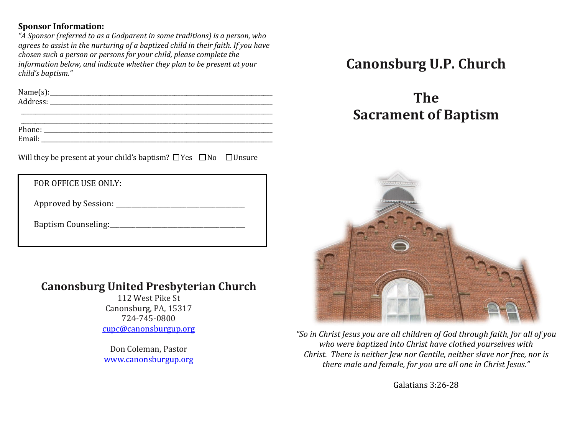#### **Sponsor Information:**

*"A Sponsor (referred to as a Godparent in some traditions) is a person, who agrees to assist in the nurturing of a baptized child in their faith. If you have chosen such a person or persons for your child, please complete the information below, and indicate whether they plan to be present at your child's baptism."* 

| N <sub>2</sub><br>name.<br>ັ<br>___<br>___ |  |
|--------------------------------------------|--|
| Address:                                   |  |
| ____<br>___<br>____<br>_______             |  |

\_\_\_\_\_\_\_\_\_\_\_\_\_\_\_\_\_\_\_\_\_\_\_\_\_\_\_\_\_\_\_\_\_\_\_\_\_\_\_\_\_\_\_\_\_\_\_\_\_\_\_\_\_\_\_\_\_\_\_\_\_\_\_\_\_\_\_\_\_\_\_\_\_\_\_\_\_\_\_\_\_\_\_\_\_ Phone: \_\_\_\_\_\_\_\_\_\_\_\_\_\_\_\_\_\_\_\_\_\_\_\_\_\_\_\_\_\_\_\_\_\_\_\_\_\_\_\_\_\_\_\_\_\_\_\_\_\_\_\_\_\_\_\_\_\_\_\_\_\_\_\_\_\_\_\_\_\_\_\_\_\_\_\_\_

Email:\_\_\_\_\_\_\_\_\_\_\_\_\_\_\_\_\_\_\_\_\_\_\_\_\_\_\_\_\_\_\_\_\_\_\_\_\_\_\_\_\_\_\_\_\_\_\_\_\_\_\_\_\_\_\_\_\_\_\_\_\_\_\_\_\_\_\_\_\_\_\_\_\_\_\_\_\_\_

Will they be present at your child's baptism?  $\Box$  Yes  $\Box$  No  $\Box$  Unsure

FOR OFFICE USE ONLY:

Approved by Session: \_\_\_\_\_\_\_\_\_\_\_\_\_\_\_\_\_\_\_\_\_\_\_\_\_\_\_\_\_\_\_\_\_\_\_\_\_\_\_\_

Baptism Counseling:\_\_\_\_\_\_\_\_\_\_\_\_\_\_\_\_\_\_\_\_\_\_\_\_\_\_\_\_\_\_\_\_\_\_\_\_\_\_\_\_\_\_

## **Canonsburg United Presbyterian Church**

112 West Pike St Canonsburg, PA, 15317 724-745-0800 [cupc@canonsburgup.org](mailto:cupc@canonsburgup.org)

Don Coleman, Pastor [www.canonsburgup.org](http://www.canonsburgup.org/)

# **Canonsburg U.P. Church**

# **The Sacrament of Baptism**



*"So in Christ Jesus you are all children of God through faith, for all of you who were baptized into Christ have clothed yourselves with Christ. There is neither Jew nor Gentile, neither slave nor free, nor is there male and female, for you are all one in Christ Jesus."* 

Galatians 3:26-28